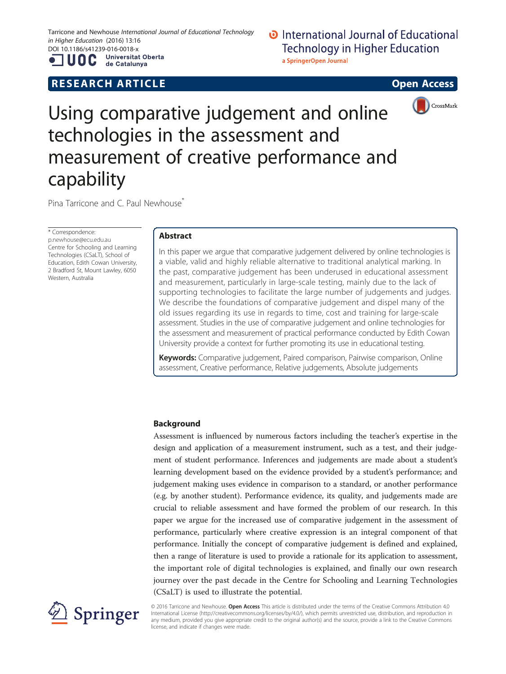Tarricone and Newhouse International Journal of Educational Technology in Higher Education (2016) 13:16 DOI 10.1186/s41239-016-0018-x<br> **ALLOO** Universitat Oberta

UOC

de Catalunya

# **RESEARCH ARTICLE Example 2018 12:00 DESEARCH ARTICLE**

# **D** International Journal of Educational **Technology in Higher Education** a SpringerOpen Journal





# Using comparative judgement and online technologies in the assessment and measurement of creative performance and capability

Pina Tarricone and C. Paul Newhouse<sup>\*</sup>

\* Correspondence: [p.newhouse@ecu.edu.au](mailto:p.newhouse@ecu.edu.au) Centre for Schooling and Learning Technologies (CSaLT), School of Education, Edith Cowan University, 2 Bradford St, Mount Lawley, 6050 Western, Australia

# Abstract

In this paper we argue that comparative judgement delivered by online technologies is a viable, valid and highly reliable alternative to traditional analytical marking. In the past, comparative judgement has been underused in educational assessment and measurement, particularly in large-scale testing, mainly due to the lack of supporting technologies to facilitate the large number of judgements and judges. We describe the foundations of comparative judgement and dispel many of the old issues regarding its use in regards to time, cost and training for large-scale assessment. Studies in the use of comparative judgement and online technologies for the assessment and measurement of practical performance conducted by Edith Cowan University provide a context for further promoting its use in educational testing.

Keywords: Comparative judgement, Paired comparison, Pairwise comparison, Online assessment, Creative performance, Relative judgements, Absolute judgements

## Background

Assessment is influenced by numerous factors including the teacher's expertise in the design and application of a measurement instrument, such as a test, and their judgement of student performance. Inferences and judgements are made about a student's learning development based on the evidence provided by a student's performance; and judgement making uses evidence in comparison to a standard, or another performance (e.g. by another student). Performance evidence, its quality, and judgements made are crucial to reliable assessment and have formed the problem of our research. In this paper we argue for the increased use of comparative judgement in the assessment of performance, particularly where creative expression is an integral component of that performance. Initially the concept of comparative judgement is defined and explained, then a range of literature is used to provide a rationale for its application to assessment, the important role of digital technologies is explained, and finally our own research journey over the past decade in the Centre for Schooling and Learning Technologies (CSaLT) is used to illustrate the potential.



© 2016 Tarricone and Newhouse. Open Access This article is distributed under the terms of the Creative Commons Attribution 4.0 International License ([http://creativecommons.org/licenses/by/4.0/\)](http://creativecommons.org/licenses/by/4.0/), which permits unrestricted use, distribution, and reproduction in any medium, provided you give appropriate credit to the original author(s) and the source, provide a link to the Creative Commons license, and indicate if changes were made.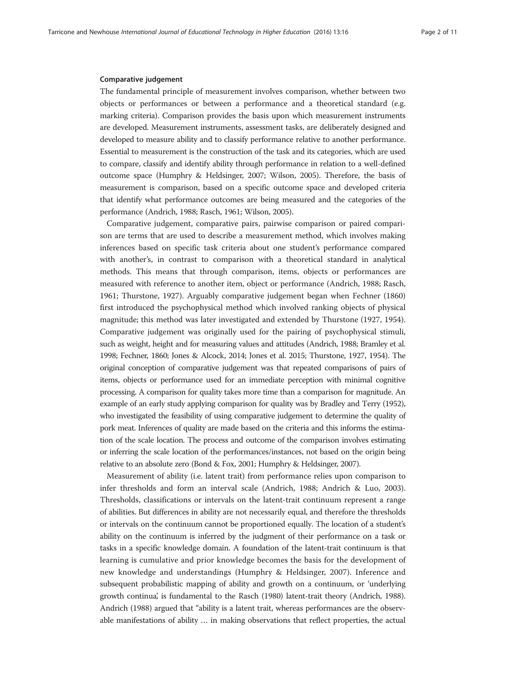#### Comparative judgement

The fundamental principle of measurement involves comparison, whether between two objects or performances or between a performance and a theoretical standard (e.g. marking criteria). Comparison provides the basis upon which measurement instruments are developed. Measurement instruments, assessment tasks, are deliberately designed and developed to measure ability and to classify performance relative to another performance. Essential to measurement is the construction of the task and its categories, which are used to compare, classify and identify ability through performance in relation to a well-defined outcome space (Humphry & Heldsinger, [2007;](#page-9-0) Wilson, [2005](#page-10-0)). Therefore, the basis of measurement is comparison, based on a specific outcome space and developed criteria that identify what performance outcomes are being measured and the categories of the performance (Andrich, [1988;](#page-9-0) Rasch, [1961](#page-10-0); Wilson, [2005](#page-10-0)).

Comparative judgement, comparative pairs, pairwise comparison or paired comparison are terms that are used to describe a measurement method, which involves making inferences based on specific task criteria about one student's performance compared with another's, in contrast to comparison with a theoretical standard in analytical methods. This means that through comparison, items, objects or performances are measured with reference to another item, object or performance (Andrich, [1988](#page-9-0); Rasch, [1961](#page-10-0); Thurstone, [1927](#page-10-0)). Arguably comparative judgement began when Fechner ([1860](#page-9-0)) first introduced the psychophysical method which involved ranking objects of physical magnitude; this method was later investigated and extended by Thurstone ([1927, 1954](#page-10-0)). Comparative judgement was originally used for the pairing of psychophysical stimuli, such as weight, height and for measuring values and attitudes (Andrich, [1988;](#page-9-0) Bramley et al. [1998;](#page-9-0) Fechner, [1860;](#page-9-0) Jones & Alcock, [2014](#page-9-0); Jones et al. [2015;](#page-9-0) Thurstone, [1927](#page-10-0), [1954\)](#page-10-0). The original conception of comparative judgement was that repeated comparisons of pairs of items, objects or performance used for an immediate perception with minimal cognitive processing. A comparison for quality takes more time than a comparison for magnitude. An example of an early study applying comparison for quality was by Bradley and Terry ([1952](#page-9-0)), who investigated the feasibility of using comparative judgement to determine the quality of pork meat. Inferences of quality are made based on the criteria and this informs the estimation of the scale location. The process and outcome of the comparison involves estimating or inferring the scale location of the performances/instances, not based on the origin being relative to an absolute zero (Bond & Fox, [2001;](#page-9-0) Humphry & Heldsinger, [2007\)](#page-9-0).

Measurement of ability (i.e. latent trait) from performance relies upon comparison to infer thresholds and form an interval scale (Andrich, [1988](#page-9-0); Andrich & Luo, [2003](#page-9-0)). Thresholds, classifications or intervals on the latent-trait continuum represent a range of abilities. But differences in ability are not necessarily equal, and therefore the thresholds or intervals on the continuum cannot be proportioned equally. The location of a student's ability on the continuum is inferred by the judgment of their performance on a task or tasks in a specific knowledge domain. A foundation of the latent-trait continuum is that learning is cumulative and prior knowledge becomes the basis for the development of new knowledge and understandings (Humphry & Heldsinger, [2007](#page-9-0)). Inference and subsequent probabilistic mapping of ability and growth on a continuum, or 'underlying growth continua', is fundamental to the Rasch [\(1980](#page-10-0)) latent-trait theory (Andrich, [1988](#page-9-0)). Andrich ([1988\)](#page-9-0) argued that "ability is a latent trait, whereas performances are the observable manifestations of ability … in making observations that reflect properties, the actual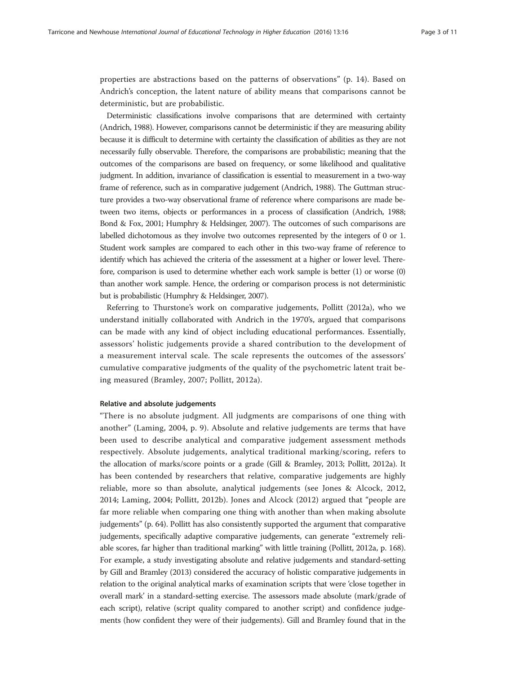properties are abstractions based on the patterns of observations" (p. 14). Based on Andrich's conception, the latent nature of ability means that comparisons cannot be deterministic, but are probabilistic.

Deterministic classifications involve comparisons that are determined with certainty (Andrich, [1988](#page-9-0)). However, comparisons cannot be deterministic if they are measuring ability because it is difficult to determine with certainty the classification of abilities as they are not necessarily fully observable. Therefore, the comparisons are probabilistic; meaning that the outcomes of the comparisons are based on frequency, or some likelihood and qualitative judgment. In addition, invariance of classification is essential to measurement in a two-way frame of reference, such as in comparative judgement (Andrich, [1988](#page-9-0)). The Guttman structure provides a two-way observational frame of reference where comparisons are made between two items, objects or performances in a process of classification (Andrich, [1988](#page-9-0); Bond & Fox, [2001](#page-9-0); Humphry & Heldsinger, [2007\)](#page-9-0). The outcomes of such comparisons are labelled dichotomous as they involve two outcomes represented by the integers of 0 or 1. Student work samples are compared to each other in this two-way frame of reference to identify which has achieved the criteria of the assessment at a higher or lower level. Therefore, comparison is used to determine whether each work sample is better (1) or worse (0) than another work sample. Hence, the ordering or comparison process is not deterministic but is probabilistic (Humphry & Heldsinger, [2007](#page-9-0)).

Referring to Thurstone's work on comparative judgements, Pollitt [\(2012a](#page-9-0)), who we understand initially collaborated with Andrich in the 1970's, argued that comparisons can be made with any kind of object including educational performances. Essentially, assessors' holistic judgements provide a shared contribution to the development of a measurement interval scale. The scale represents the outcomes of the assessors' cumulative comparative judgments of the quality of the psychometric latent trait being measured (Bramley, [2007;](#page-9-0) Pollitt, [2012a](#page-9-0)).

#### Relative and absolute judgements

"There is no absolute judgment. All judgments are comparisons of one thing with another" (Laming, [2004,](#page-9-0) p. 9). Absolute and relative judgements are terms that have been used to describe analytical and comparative judgement assessment methods respectively. Absolute judgements, analytical traditional marking/scoring, refers to the allocation of marks/score points or a grade (Gill & Bramley, [2013;](#page-9-0) Pollitt, [2012a\)](#page-9-0). It has been contended by researchers that relative, comparative judgements are highly reliable, more so than absolute, analytical judgements (see Jones & Alcock, [2012](#page-9-0), [2014;](#page-9-0) Laming, [2004;](#page-9-0) Pollitt, [2012b\)](#page-9-0). Jones and Alcock ([2012](#page-9-0)) argued that "people are far more reliable when comparing one thing with another than when making absolute judgements" (p. 64). Pollitt has also consistently supported the argument that comparative judgements, specifically adaptive comparative judgements, can generate "extremely reliable scores, far higher than traditional marking" with little training (Pollitt, [2012a](#page-9-0), p. 168). For example, a study investigating absolute and relative judgements and standard-setting by Gill and Bramley [\(2013](#page-9-0)) considered the accuracy of holistic comparative judgements in relation to the original analytical marks of examination scripts that were 'close together in overall mark' in a standard-setting exercise. The assessors made absolute (mark/grade of each script), relative (script quality compared to another script) and confidence judgements (how confident they were of their judgements). Gill and Bramley found that in the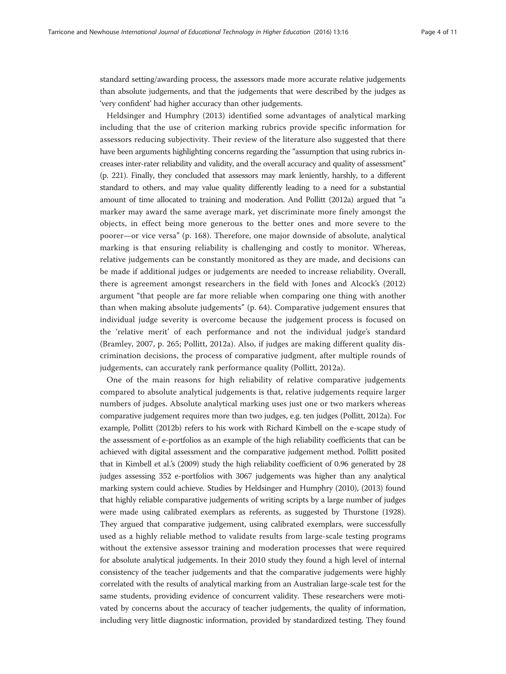standard setting/awarding process, the assessors made more accurate relative judgements than absolute judgements, and that the judgements that were described by the judges as 'very confident' had higher accuracy than other judgements.

Heldsinger and Humphry ([2013\)](#page-9-0) identified some advantages of analytical marking including that the use of criterion marking rubrics provide specific information for assessors reducing subjectivity. Their review of the literature also suggested that there have been arguments highlighting concerns regarding the "assumption that using rubrics increases inter-rater reliability and validity, and the overall accuracy and quality of assessment" (p. 221). Finally, they concluded that assessors may mark leniently, harshly, to a different standard to others, and may value quality differently leading to a need for a substantial amount of time allocated to training and moderation. And Pollitt [\(2012a](#page-9-0)) argued that "a marker may award the same average mark, yet discriminate more finely amongst the objects, in effect being more generous to the better ones and more severe to the poorer—or vice versa" (p. 168). Therefore, one major downside of absolute, analytical marking is that ensuring reliability is challenging and costly to monitor. Whereas, relative judgements can be constantly monitored as they are made, and decisions can be made if additional judges or judgements are needed to increase reliability. Overall, there is agreement amongst researchers in the field with Jones and Alcock's [\(2012](#page-9-0)) argument "that people are far more reliable when comparing one thing with another than when making absolute judgements" (p. 64). Comparative judgement ensures that individual judge severity is overcome because the judgement process is focused on the 'relative merit' of each performance and not the individual judge's standard (Bramley, [2007](#page-9-0), p. 265; Pollitt, [2012a\)](#page-9-0). Also, if judges are making different quality discrimination decisions, the process of comparative judgment, after multiple rounds of judgements, can accurately rank performance quality (Pollitt, [2012a\)](#page-9-0).

One of the main reasons for high reliability of relative comparative judgements compared to absolute analytical judgements is that, relative judgements require larger numbers of judges. Absolute analytical marking uses just one or two markers whereas comparative judgement requires more than two judges, e.g. ten judges (Pollitt, [2012a](#page-9-0)). For example, Pollitt ([2012b\)](#page-9-0) refers to his work with Richard Kimbell on the e-scape study of the assessment of e-portfolios as an example of the high reliability coefficients that can be achieved with digital assessment and the comparative judgement method. Pollitt posited that in Kimbell et al.'s [\(2009](#page-9-0)) study the high reliability coefficient of 0.96 generated by 28 judges assessing 352 e-portfolios with 3067 judgements was higher than any analytical marking system could achieve. Studies by Heldsinger and Humphry [\(2010](#page-9-0)), ([2013\)](#page-9-0) found that highly reliable comparative judgements of writing scripts by a large number of judges were made using calibrated exemplars as referents, as suggested by Thurstone [\(1928](#page-10-0)). They argued that comparative judgement, using calibrated exemplars, were successfully used as a highly reliable method to validate results from large-scale testing programs without the extensive assessor training and moderation processes that were required for absolute analytical judgements. In their 2010 study they found a high level of internal consistency of the teacher judgements and that the comparative judgements were highly correlated with the results of analytical marking from an Australian large-scale test for the same students, providing evidence of concurrent validity. These researchers were motivated by concerns about the accuracy of teacher judgements, the quality of information, including very little diagnostic information, provided by standardized testing. They found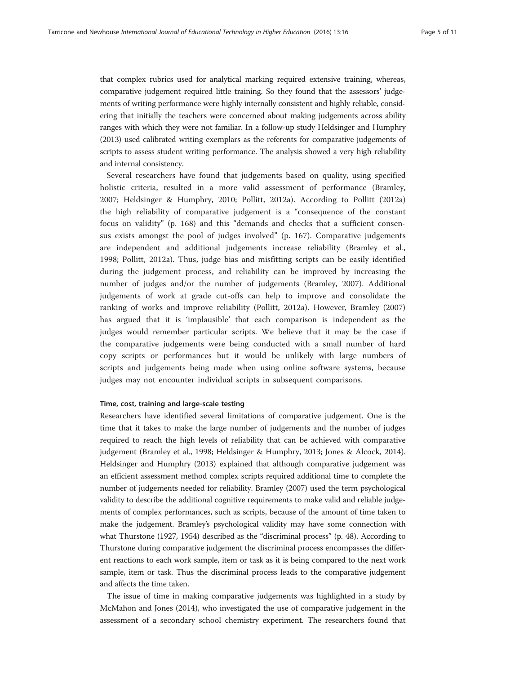that complex rubrics used for analytical marking required extensive training, whereas, comparative judgement required little training. So they found that the assessors' judgements of writing performance were highly internally consistent and highly reliable, considering that initially the teachers were concerned about making judgements across ability ranges with which they were not familiar. In a follow-up study Heldsinger and Humphry ([2013\)](#page-9-0) used calibrated writing exemplars as the referents for comparative judgements of scripts to assess student writing performance. The analysis showed a very high reliability and internal consistency.

Several researchers have found that judgements based on quality, using specified holistic criteria, resulted in a more valid assessment of performance (Bramley, [2007;](#page-9-0) Heldsinger & Humphry, [2010;](#page-9-0) Pollitt, [2012a](#page-9-0)). According to Pollitt ([2012a](#page-9-0)) the high reliability of comparative judgement is a "consequence of the constant focus on validity" (p. 168) and this "demands and checks that a sufficient consensus exists amongst the pool of judges involved" (p. 167). Comparative judgements are independent and additional judgements increase reliability (Bramley et al., [1998;](#page-9-0) Pollitt, [2012a](#page-9-0)). Thus, judge bias and misfitting scripts can be easily identified during the judgement process, and reliability can be improved by increasing the number of judges and/or the number of judgements (Bramley, [2007\)](#page-9-0). Additional judgements of work at grade cut-offs can help to improve and consolidate the ranking of works and improve reliability (Pollitt, [2012a\)](#page-9-0). However, Bramley [\(2007](#page-9-0)) has argued that it is 'implausible' that each comparison is independent as the judges would remember particular scripts. We believe that it may be the case if the comparative judgements were being conducted with a small number of hard copy scripts or performances but it would be unlikely with large numbers of scripts and judgements being made when using online software systems, because judges may not encounter individual scripts in subsequent comparisons.

#### Time, cost, training and large-scale testing

Researchers have identified several limitations of comparative judgement. One is the time that it takes to make the large number of judgements and the number of judges required to reach the high levels of reliability that can be achieved with comparative judgement (Bramley et al., [1998](#page-9-0); Heldsinger & Humphry, [2013;](#page-9-0) Jones & Alcock, [2014](#page-9-0)). Heldsinger and Humphry ([2013](#page-9-0)) explained that although comparative judgement was an efficient assessment method complex scripts required additional time to complete the number of judgements needed for reliability. Bramley ([2007\)](#page-9-0) used the term psychological validity to describe the additional cognitive requirements to make valid and reliable judgements of complex performances, such as scripts, because of the amount of time taken to make the judgement. Bramley's psychological validity may have some connection with what Thurstone [\(1927](#page-10-0), [1954\)](#page-10-0) described as the "discriminal process" (p. 48). According to Thurstone during comparative judgement the discriminal process encompasses the different reactions to each work sample, item or task as it is being compared to the next work sample, item or task. Thus the discriminal process leads to the comparative judgement and affects the time taken.

The issue of time in making comparative judgements was highlighted in a study by McMahon and Jones ([2014\)](#page-9-0), who investigated the use of comparative judgement in the assessment of a secondary school chemistry experiment. The researchers found that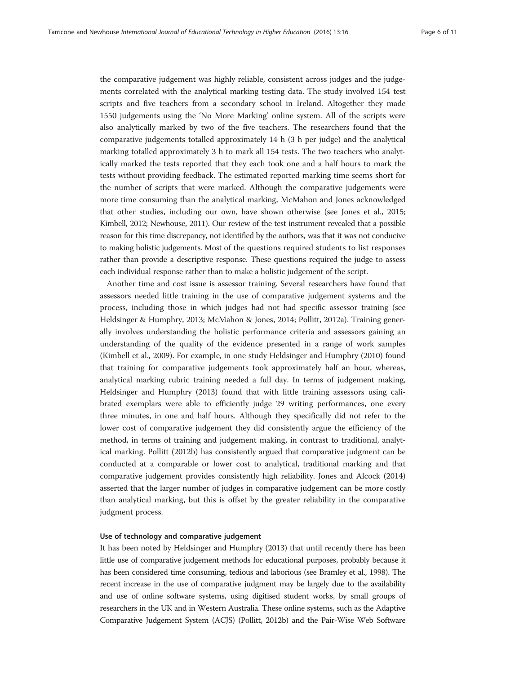the comparative judgement was highly reliable, consistent across judges and the judgements correlated with the analytical marking testing data. The study involved 154 test scripts and five teachers from a secondary school in Ireland. Altogether they made 1550 judgements using the 'No More Marking' online system. All of the scripts were also analytically marked by two of the five teachers. The researchers found that the comparative judgements totalled approximately 14 h (3 h per judge) and the analytical marking totalled approximately 3 h to mark all 154 tests. The two teachers who analytically marked the tests reported that they each took one and a half hours to mark the tests without providing feedback. The estimated reported marking time seems short for the number of scripts that were marked. Although the comparative judgements were more time consuming than the analytical marking, McMahon and Jones acknowledged that other studies, including our own, have shown otherwise (see Jones et al., [2015](#page-9-0); Kimbell, [2012;](#page-9-0) Newhouse, [2011\)](#page-9-0). Our review of the test instrument revealed that a possible reason for this time discrepancy, not identified by the authors, was that it was not conducive to making holistic judgements. Most of the questions required students to list responses rather than provide a descriptive response. These questions required the judge to assess each individual response rather than to make a holistic judgement of the script.

Another time and cost issue is assessor training. Several researchers have found that assessors needed little training in the use of comparative judgement systems and the process, including those in which judges had not had specific assessor training (see Heldsinger & Humphry, [2013](#page-9-0); McMahon & Jones, [2014;](#page-9-0) Pollitt, [2012a](#page-9-0)). Training generally involves understanding the holistic performance criteria and assessors gaining an understanding of the quality of the evidence presented in a range of work samples (Kimbell et al., [2009\)](#page-9-0). For example, in one study Heldsinger and Humphry [\(2010\)](#page-9-0) found that training for comparative judgements took approximately half an hour, whereas, analytical marking rubric training needed a full day. In terms of judgement making, Heldsinger and Humphry ([2013](#page-9-0)) found that with little training assessors using calibrated exemplars were able to efficiently judge 29 writing performances, one every three minutes, in one and half hours. Although they specifically did not refer to the lower cost of comparative judgement they did consistently argue the efficiency of the method, in terms of training and judgement making, in contrast to traditional, analytical marking. Pollitt [\(2012b\)](#page-9-0) has consistently argued that comparative judgment can be conducted at a comparable or lower cost to analytical, traditional marking and that comparative judgement provides consistently high reliability. Jones and Alcock ([2014](#page-9-0)) asserted that the larger number of judges in comparative judgement can be more costly than analytical marking, but this is offset by the greater reliability in the comparative judgment process.

#### Use of technology and comparative judgement

It has been noted by Heldsinger and Humphry ([2013](#page-9-0)) that until recently there has been little use of comparative judgement methods for educational purposes, probably because it has been considered time consuming, tedious and laborious (see Bramley et al., [1998\)](#page-9-0). The recent increase in the use of comparative judgment may be largely due to the availability and use of online software systems, using digitised student works, by small groups of researchers in the UK and in Western Australia. These online systems, such as the Adaptive Comparative Judgement System (ACJS) (Pollitt, [2012b\)](#page-9-0) and the Pair-Wise Web Software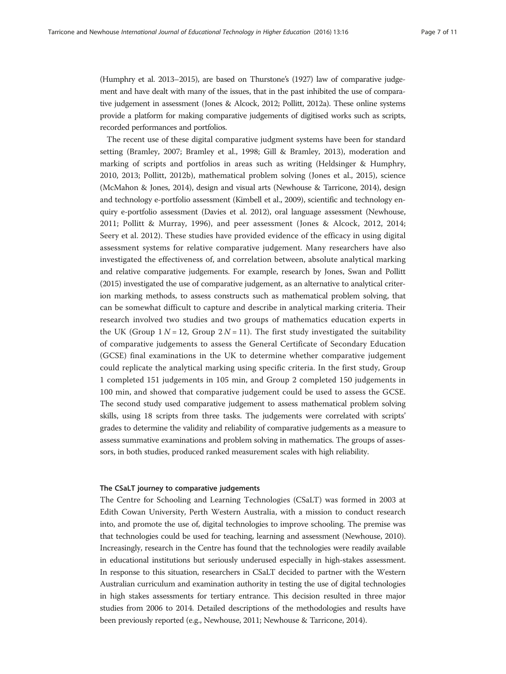(Humphry et al. [2013](#page-9-0)–2015), are based on Thurstone's ([1927\)](#page-10-0) law of comparative judgement and have dealt with many of the issues, that in the past inhibited the use of comparative judgement in assessment (Jones & Alcock, [2012](#page-9-0); Pollitt, [2012a](#page-9-0)). These online systems provide a platform for making comparative judgements of digitised works such as scripts, recorded performances and portfolios.

The recent use of these digital comparative judgment systems have been for standard setting (Bramley, [2007](#page-9-0); Bramley et al., [1998;](#page-9-0) Gill & Bramley, [2013](#page-9-0)), moderation and marking of scripts and portfolios in areas such as writing (Heldsinger & Humphry, [2010](#page-9-0), [2013;](#page-9-0) Pollitt, [2012b\)](#page-9-0), mathematical problem solving (Jones et al., [2015](#page-9-0)), science (McMahon & Jones, [2014\)](#page-9-0), design and visual arts (Newhouse & Tarricone, [2014\)](#page-9-0), design and technology e-portfolio assessment (Kimbell et al., [2009](#page-9-0)), scientific and technology enquiry e-portfolio assessment (Davies et al. [2012](#page-9-0)), oral language assessment (Newhouse, [2011;](#page-9-0) Pollitt & Murray, [1996\)](#page-10-0), and peer assessment (Jones & Alcock, [2012](#page-9-0), [2014](#page-9-0); Seery et al. [2012\)](#page-10-0). These studies have provided evidence of the efficacy in using digital assessment systems for relative comparative judgement. Many researchers have also investigated the effectiveness of, and correlation between, absolute analytical marking and relative comparative judgements. For example, research by Jones, Swan and Pollitt (2015) investigated the use of comparative judgement, as an alternative to analytical criterion marking methods, to assess constructs such as mathematical problem solving, that can be somewhat difficult to capture and describe in analytical marking criteria. Their research involved two studies and two groups of mathematics education experts in the UK (Group  $1 N = 12$ , Group  $2 N = 11$ ). The first study investigated the suitability of comparative judgements to assess the General Certificate of Secondary Education (GCSE) final examinations in the UK to determine whether comparative judgement could replicate the analytical marking using specific criteria. In the first study, Group 1 completed 151 judgements in 105 min, and Group 2 completed 150 judgements in 100 min, and showed that comparative judgement could be used to assess the GCSE. The second study used comparative judgement to assess mathematical problem solving skills, using 18 scripts from three tasks. The judgements were correlated with scripts' grades to determine the validity and reliability of comparative judgements as a measure to assess summative examinations and problem solving in mathematics. The groups of assessors, in both studies, produced ranked measurement scales with high reliability.

#### The CSaLT journey to comparative judgements

The Centre for Schooling and Learning Technologies (CSaLT) was formed in 2003 at Edith Cowan University, Perth Western Australia, with a mission to conduct research into, and promote the use of, digital technologies to improve schooling. The premise was that technologies could be used for teaching, learning and assessment (Newhouse, [2010](#page-9-0)). Increasingly, research in the Centre has found that the technologies were readily available in educational institutions but seriously underused especially in high-stakes assessment. In response to this situation, researchers in CSaLT decided to partner with the Western Australian curriculum and examination authority in testing the use of digital technologies in high stakes assessments for tertiary entrance. This decision resulted in three major studies from 2006 to 2014. Detailed descriptions of the methodologies and results have been previously reported (e.g., Newhouse, [2011;](#page-9-0) Newhouse & Tarricone, [2014\)](#page-9-0).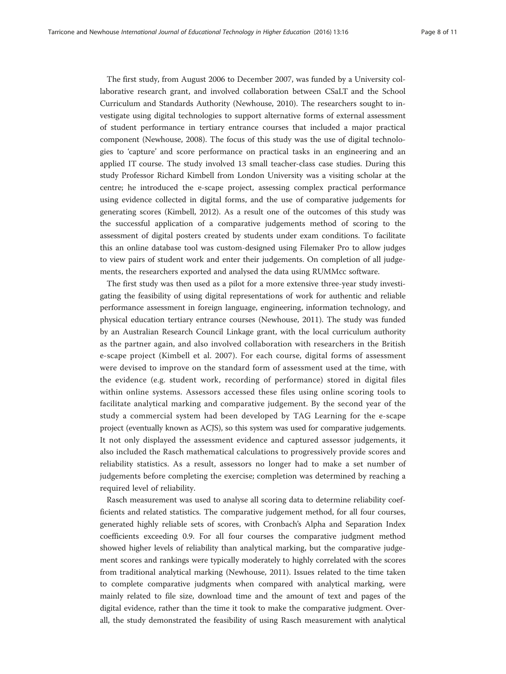The first study, from August 2006 to December 2007, was funded by a University collaborative research grant, and involved collaboration between CSaLT and the School Curriculum and Standards Authority (Newhouse, [2010](#page-9-0)). The researchers sought to investigate using digital technologies to support alternative forms of external assessment of student performance in tertiary entrance courses that included a major practical component (Newhouse, [2008\)](#page-9-0). The focus of this study was the use of digital technologies to 'capture' and score performance on practical tasks in an engineering and an applied IT course. The study involved 13 small teacher-class case studies. During this study Professor Richard Kimbell from London University was a visiting scholar at the centre; he introduced the e-scape project, assessing complex practical performance using evidence collected in digital forms, and the use of comparative judgements for generating scores (Kimbell, [2012\)](#page-9-0). As a result one of the outcomes of this study was the successful application of a comparative judgements method of scoring to the assessment of digital posters created by students under exam conditions. To facilitate this an online database tool was custom-designed using Filemaker Pro to allow judges to view pairs of student work and enter their judgements. On completion of all judgements, the researchers exported and analysed the data using RUMMcc software.

The first study was then used as a pilot for a more extensive three-year study investigating the feasibility of using digital representations of work for authentic and reliable performance assessment in foreign language, engineering, information technology, and physical education tertiary entrance courses (Newhouse, [2011\)](#page-9-0). The study was funded by an Australian Research Council Linkage grant, with the local curriculum authority as the partner again, and also involved collaboration with researchers in the British e-scape project (Kimbell et al. [2007\)](#page-9-0). For each course, digital forms of assessment were devised to improve on the standard form of assessment used at the time, with the evidence (e.g. student work, recording of performance) stored in digital files within online systems. Assessors accessed these files using online scoring tools to facilitate analytical marking and comparative judgement. By the second year of the study a commercial system had been developed by TAG Learning for the e-scape project (eventually known as ACJS), so this system was used for comparative judgements. It not only displayed the assessment evidence and captured assessor judgements, it also included the Rasch mathematical calculations to progressively provide scores and reliability statistics. As a result, assessors no longer had to make a set number of judgements before completing the exercise; completion was determined by reaching a required level of reliability.

Rasch measurement was used to analyse all scoring data to determine reliability coefficients and related statistics. The comparative judgement method, for all four courses, generated highly reliable sets of scores, with Cronbach's Alpha and Separation Index coefficients exceeding 0.9. For all four courses the comparative judgment method showed higher levels of reliability than analytical marking, but the comparative judgement scores and rankings were typically moderately to highly correlated with the scores from traditional analytical marking (Newhouse, [2011](#page-9-0)). Issues related to the time taken to complete comparative judgments when compared with analytical marking, were mainly related to file size, download time and the amount of text and pages of the digital evidence, rather than the time it took to make the comparative judgment. Overall, the study demonstrated the feasibility of using Rasch measurement with analytical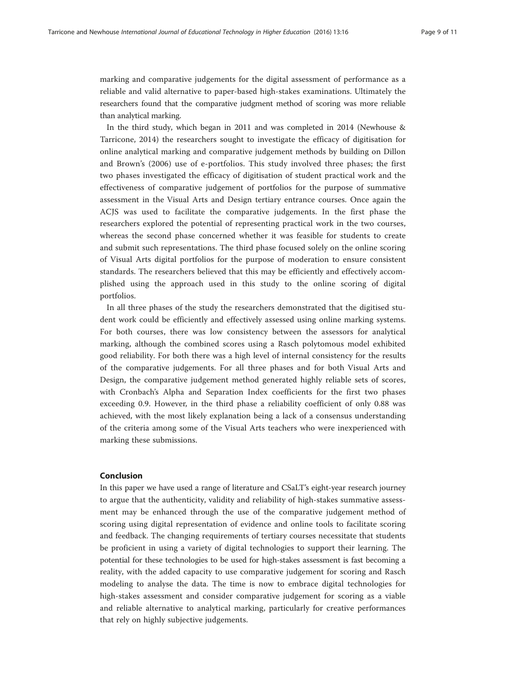marking and comparative judgements for the digital assessment of performance as a reliable and valid alternative to paper-based high-stakes examinations. Ultimately the researchers found that the comparative judgment method of scoring was more reliable than analytical marking.

In the third study, which began in 2011 and was completed in 2014 (Newhouse & Tarricone, [2014\)](#page-9-0) the researchers sought to investigate the efficacy of digitisation for online analytical marking and comparative judgement methods by building on Dillon and Brown's ([2006\)](#page-9-0) use of e-portfolios. This study involved three phases; the first two phases investigated the efficacy of digitisation of student practical work and the effectiveness of comparative judgement of portfolios for the purpose of summative assessment in the Visual Arts and Design tertiary entrance courses. Once again the ACJS was used to facilitate the comparative judgements. In the first phase the researchers explored the potential of representing practical work in the two courses, whereas the second phase concerned whether it was feasible for students to create and submit such representations. The third phase focused solely on the online scoring of Visual Arts digital portfolios for the purpose of moderation to ensure consistent standards. The researchers believed that this may be efficiently and effectively accomplished using the approach used in this study to the online scoring of digital portfolios.

In all three phases of the study the researchers demonstrated that the digitised student work could be efficiently and effectively assessed using online marking systems. For both courses, there was low consistency between the assessors for analytical marking, although the combined scores using a Rasch polytomous model exhibited good reliability. For both there was a high level of internal consistency for the results of the comparative judgements. For all three phases and for both Visual Arts and Design, the comparative judgement method generated highly reliable sets of scores, with Cronbach's Alpha and Separation Index coefficients for the first two phases exceeding 0.9. However, in the third phase a reliability coefficient of only 0.88 was achieved, with the most likely explanation being a lack of a consensus understanding of the criteria among some of the Visual Arts teachers who were inexperienced with marking these submissions.

#### Conclusion

In this paper we have used a range of literature and CSaLT's eight-year research journey to argue that the authenticity, validity and reliability of high-stakes summative assessment may be enhanced through the use of the comparative judgement method of scoring using digital representation of evidence and online tools to facilitate scoring and feedback. The changing requirements of tertiary courses necessitate that students be proficient in using a variety of digital technologies to support their learning. The potential for these technologies to be used for high-stakes assessment is fast becoming a reality, with the added capacity to use comparative judgement for scoring and Rasch modeling to analyse the data. The time is now to embrace digital technologies for high-stakes assessment and consider comparative judgement for scoring as a viable and reliable alternative to analytical marking, particularly for creative performances that rely on highly subjective judgements.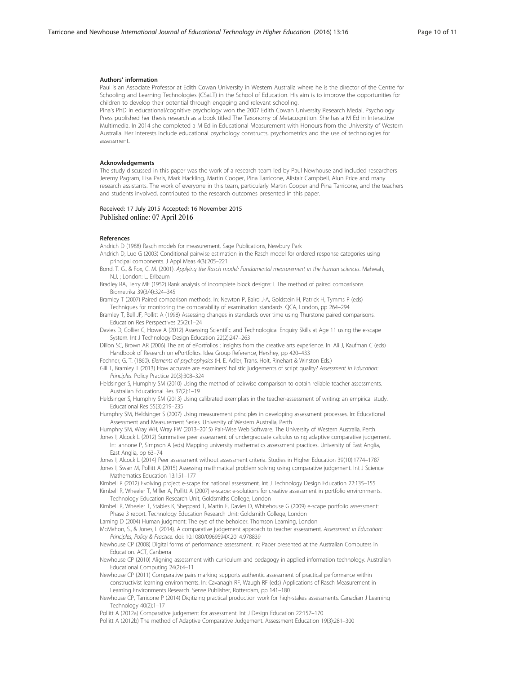#### <span id="page-9-0"></span>Authors' information

Paul is an Associate Professor at Edith Cowan University in Western Australia where he is the director of the Centre for Schooling and Learning Technologies (CSaLT) in the School of Education. His aim is to improve the opportunities for children to develop their potential through engaging and relevant schooling.

Pina's PhD in educational/cognitive psychology won the 2007 Edith Cowan University Research Medal. Psychology Press published her thesis research as a book titled The Taxonomy of Metacognition. She has a M Ed in Interactive Multimedia. In 2014 she completed a M Ed in Educational Measurement with Honours from the University of Western Australia. Her interests include educational psychology constructs, psychometrics and the use of technologies for assessment.

#### Acknowledgements

The study discussed in this paper was the work of a research team led by Paul Newhouse and included researchers Jeremy Pagram, Lisa Paris, Mark Hackling, Martin Cooper, Pina Tarricone, Alistair Campbell, Alun Price and many research assistants. The work of everyone in this team, particularly Martin Cooper and Pina Tarricone, and the teachers and students involved, contributed to the research outcomes presented in this paper.

#### Received: 17 July 2015 Accepted: 16 November 2015 Published online: 07 April 2016

### References

Andrich D (1988) Rasch models for measurement. Sage Publications, Newbury Park

- Andrich D, Luo G (2003) Conditional pairwise estimation in the Rasch model for ordered response categories using principal components. J Appl Meas 4(3):205–221
- Bond, T. G., & Fox, C. M. (2001). Applying the Rasch model: Fundamental measurement in the human sciences. Mahwah, N.J. ; London: L. Erlbaum
- Bradley RA, Terry ME (1952) Rank analysis of incomplete block designs: I. The method of paired comparisons. Biometrika 39(3/4):324–345
- Bramley T (2007) Paired comparison methods. In: Newton P, Baird J-A, Goldstein H, Patrick H, Tymms P (eds) Techniques for monitoring the comparability of examination standards. QCA, London, pp 264–294
- Bramley T, Bell JF, Pollitt A (1998) Assessing changes in standards over time using Thurstone paired comparisons. Education Res Perspectives 25(2):1–24
- Davies D, Collier C, Howe A (2012) Assessing Scientific and Technological Enquiry Skills at Age 11 using the e-scape System. Int J Technology Design Education 22(2):247–263
- Dillon SC, Brown AR (2006) The art of ePortfolios : insights from the creative arts experience. In: Ali J, Kaufman C (eds) Handbook of Research on ePortfolios. Idea Group Reference, Hershey, pp 420–433
- Fechner, G. T. (1860). Elements of psychophysics (H. E. Adler, Trans. Holt, Rinehart & Winston Eds.)
- Gill T, Bramley T (2013) How accurate are examiners' holistic judgements of script quality? Assessment in Education: Principles. Policy Practice 20(3):308–324
- Heldsinger S, Humphry SM (2010) Using the method of pairwise comparison to obtain reliable teacher assessments. Australian Educational Res 37(2):1–19
- Heldsinger S, Humphry SM (2013) Using calibrated exemplars in the teacher-assessment of writing: an empirical study. Educational Res 55(3):219–235
- Humphry SM, Heldsinger S (2007) Using measurement principles in developing assessment processes. In: Educational Assessment and Measurement Series. University of Western Australia, Perth
- Humphry SM, Wray WH, Wray FW (2013–2015) Pair-Wise Web Software. The University of Western Australia, Perth
- Jones I, Alcock L (2012) Summative peer assessment of undergraduate calculus using adaptive comparative judgement. In: Iannone P, Simpson A (eds) Mapping university mathematics assessment practices. University of East Anglia, East Anglia, pp 63–74

Jones I, Alcock L (2014) Peer assessment without assessment criteria. Studies in Higher Education 39(10):1774–1787

- Jones I, Swan M, Pollitt A (2015) Assessing mathmatical problem solving using comparative judgement. Int J Science Mathematics Education 13:151–177
- Kimbell R (2012) Evolving project e-scape for national assessment. Int J Technology Design Education 22:135–155 Kimbell R, Wheeler T, Miller A, Pollitt A (2007) e-scape: e-solutions for creative assessment in portfolio environments.

Technology Education Research Unit, Goldsmiths College, London

- Kimbell R, Wheeler T, Stables K, Sheppard T, Martin F, Davies D, Whitehouse G (2009) e-scape portfolio assessment: Phase 3 report. Technology Education Research Unit: Goldsmith College, London
- Laming D (2004) Human judgment: The eye of the beholder. Thomson Learning, London
- McMahon, S., & Jones, I. (2014). A comparative judgement approach to teacher assessment. Assessment in Education: Principles, Policy & Practice. doi: [10.1080/0969594X.2014.978839](http://dx.doi.org/10.1080/0969594X.2014.978839)
- Newhouse CP (2008) Digital forms of performance assessment. In: Paper presented at the Australian Computers in Education. ACT, Canberra
- Newhouse CP (2010) Aligning assessment with curriculum and pedagogy in applied information technology. Australian Educational Computing 24(2):4–11
- Newhouse CP (2011) Comparative pairs marking supports authentic assessment of practical performance within constructivist learning environments. In: Cavanagh RF, Waugh RF (eds) Applications of Rasch Measurement in Learning Environments Research. Sense Publisher, Rotterdam, pp 141–180
- Newhouse CP, Tarricone P (2014) Digitizing practical production work for high-stakes assessments. Canadian J Learning Technology 40(2):1–17

Pollitt A (2012a) Comparative judgement for assessment. Int J Design Education 22:157–170

Pollitt A (2012b) The method of Adaptive Comparative Judgement. Assessment Education 19(3):281–300